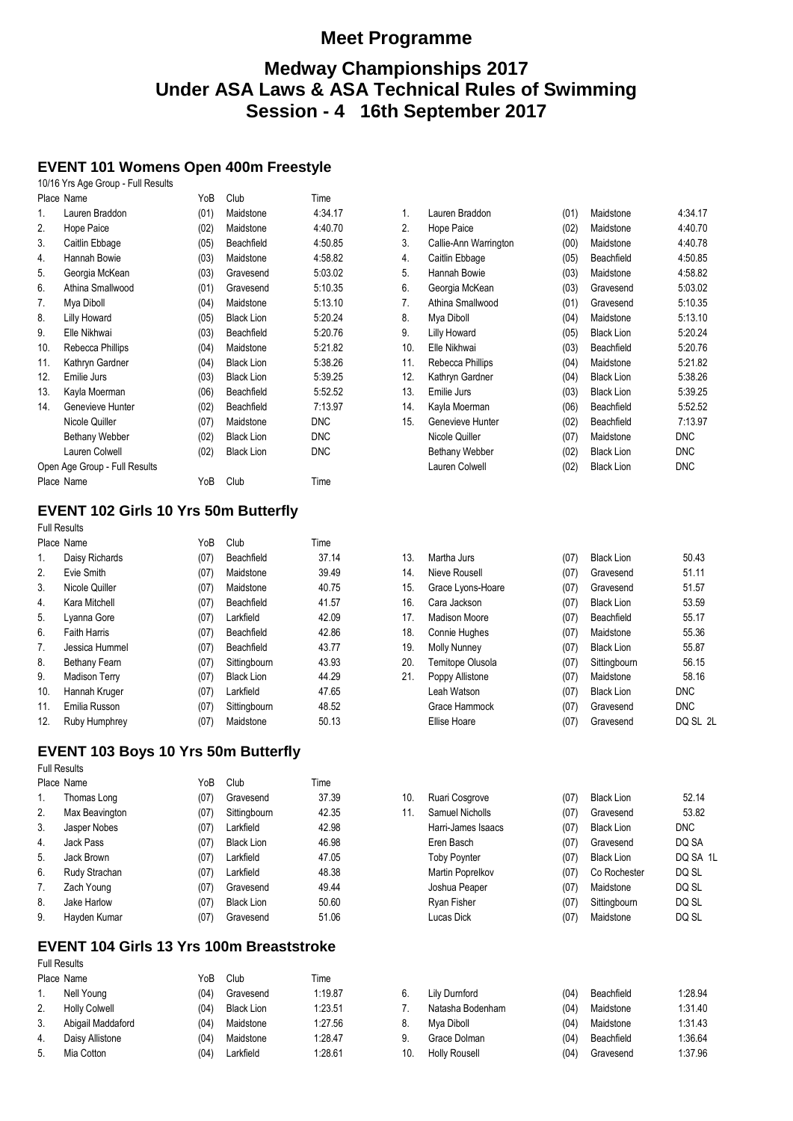# **Medway Championships 2017 Under ASA Laws & ASA Technical Rules of Swimming Session - 4 16th September 2017**

# **EVENT 101 Womens Open 400m Freestyle**

|                               | 10/16 Yrs Age Group - Full Results |      |                   |            |
|-------------------------------|------------------------------------|------|-------------------|------------|
|                               | Place Name                         | YoB  | Club              | Time       |
| 1.                            | Lauren Braddon                     | (01) | Maidstone         | 4:34.17    |
| 2.                            | Hope Paice                         | (02) | Maidstone         | 4:40.70    |
| 3.                            | Caitlin Ebbage                     | (05) | Beachfield        | 4:50.85    |
| 4.                            | Hannah Bowie                       | (03) | Maidstone         | 4:58.82    |
| 5.                            | Georgia McKean                     | (03) | Gravesend         | 5:03.02    |
| 6.                            | Athina Smallwood                   | (01) | Gravesend         | 5:10.35    |
| 7.                            | Mya Diboll                         | (04) | Maidstone         | 5:13.10    |
| 8.                            | Lilly Howard                       | (05) | <b>Black Lion</b> | 5:20.24    |
| 9.                            | Elle Nikhwai                       | (03) | Beachfield        | 5:20.76    |
| 10.                           | Rebecca Phillips                   | (04) | Maidstone         | 5:21.82    |
| 11.                           | Kathryn Gardner                    | (04) | <b>Black Lion</b> | 5:38.26    |
| 12.                           | Emilie Jurs                        | (03) | <b>Black Lion</b> | 5:39.25    |
| 13.                           | Kayla Moerman                      | (06) | Beachfield        | 5:52.52    |
| 14.                           | Genevieve Hunter                   | (02) | Beachfield        | 7:13.97    |
|                               | Nicole Quiller                     | (07) | Maidstone         | <b>DNC</b> |
|                               | Bethany Webber                     | (02) | <b>Black Lion</b> | <b>DNC</b> |
|                               | Lauren Colwell                     | (02) | <b>Black Lion</b> | <b>DNC</b> |
| Open Age Group - Full Results |                                    |      |                   |            |
|                               | Place Name                         | YoB  | Club              | Time       |

# **EVENT 102 Girls 10 Yrs 50m Butterfly**

Full Results

|                      | YoB        | Club              | Time  |
|----------------------|------------|-------------------|-------|
| Daisy Richards       | (07)       | Beachfield        | 37.14 |
| Evie Smith           | (07)       | Maidstone         | 39.49 |
| Nicole Quiller       | (07)       | Maidstone         | 40.75 |
| Kara Mitchell        | (07)       | Beachfield        | 41.57 |
| Lyanna Gore          | (07)       | Larkfield         | 42.09 |
| <b>Faith Harris</b>  | (07)       | Beachfield        | 42.86 |
| Jessica Hummel       | (07)       | Beachfield        | 43.77 |
| Bethany Fearn        | (07)       | Sittingbourn      | 43.93 |
| <b>Madison Terry</b> | (07)       | <b>Black Lion</b> | 44.29 |
| Hannah Kruger        | (07)       | Larkfield         | 47.65 |
| Emilia Russon        | (07)       | Sittingbourn      | 48.52 |
| Ruby Humphrey        | (07)       | Maidstone         | 50.13 |
|                      | Place Name |                   |       |

## **EVENT 103 Boys 10 Yrs 50m Butterfly**

Full Results

|                  | Place Name     | YoB  | Club              | Time  |
|------------------|----------------|------|-------------------|-------|
| 1.               | Thomas Long    | (07) | Gravesend         | 37.39 |
| 2.               | Max Beavington | (07) | Sittingbourn      | 42.35 |
| 3.               | Jasper Nobes   | (07) | Larkfield         | 42.98 |
| $\overline{4}$ . | Jack Pass      | (07) | <b>Black Lion</b> | 46.98 |
| 5.               | Jack Brown     | (07) | Larkfield         | 47.05 |
| 6.               | Rudy Strachan  | (07) | Larkfield         | 48.38 |
| 7.               | Zach Young     | (07) | Gravesend         | 49.44 |
| 8.               | Jake Harlow    | (07) | <b>Black Lion</b> | 50.60 |
| 9.               | Hayden Kumar   | (07) | Gravesend         | 51.06 |

#### **EVENT 104 Girls 13 Yrs 100m Breaststroke**  Full Results

| ı uli i və dilə      |      |                   |                        |  |  |
|----------------------|------|-------------------|------------------------|--|--|
| Place Name           | YoB  | Club              | Time                   |  |  |
| Nell Young           | (04) |                   | 1:19.87                |  |  |
| <b>Holly Colwell</b> | (04) | <b>Black Lion</b> | 1:23.51                |  |  |
| Abigail Maddaford    | (04) | Maidstone         | 1:27.56                |  |  |
| Daisy Allistone      | (04) |                   | 1:28.47                |  |  |
| Mia Cotton           | (04) | Larkfield         | 1:28.61                |  |  |
|                      |      |                   | Gravesend<br>Maidstone |  |  |

| 1.  | Lauren Braddon        | (01) | Maidstone         | 4:34.17    |
|-----|-----------------------|------|-------------------|------------|
| 2.  | Hope Paice            | (02) | Maidstone         | 4:40.70    |
| 3.  | Callie-Ann Warrington | (00) | Maidstone         | 4:40.78    |
| 4.  | Caitlin Ebbage        | (05) | Beachfield        | 4:50.85    |
| 5.  | Hannah Bowie          | (03) | Maidstone         | 4:58.82    |
| 6.  | Georgia McKean        | (03) | Gravesend         | 5:03.02    |
| 7.  | Athina Smallwood      | (01) | Gravesend         | 5:10.35    |
| 8.  | Mya Diboll            | (04) | Maidstone         | 5:13.10    |
| 9.  | Lilly Howard          | (05) | <b>Black Lion</b> | 5:20.24    |
| 10. | Elle Nikhwai          | (03) | Beachfield        | 5:20.76    |
| 11. | Rebecca Phillips      | (04) | Maidstone         | 5:21.82    |
| 12. | Kathryn Gardner       | (04) | <b>Black Lion</b> | 5:38.26    |
| 13. | Emilie Jurs           | (03) | <b>Black Lion</b> | 5:39.25    |
| 14. | Kayla Moerman         | (06) | Beachfield        | 5:52.52    |
| 15. | Genevieve Hunter      | (02) | Beachfield        | 7:13.97    |
|     | Nicole Quiller        | (07) | Maidstone         | <b>DNC</b> |
|     | Bethany Webber        | (02) | <b>Black Lion</b> | <b>DNC</b> |
|     | Lauren Colwell        | (02) | <b>Black Lion</b> | DNC        |
|     |                       |      |                   |            |

| 13. | Martha Jurs         | (07) | <b>Black Lion</b> | 50.43      |
|-----|---------------------|------|-------------------|------------|
| 14. | Nieve Rousell       | (07) | Gravesend         | 51.11      |
| 15. | Grace Lyons-Hoare   | (07) | Gravesend         | 51.57      |
| 16. | Cara Jackson        | (07) | <b>Black Lion</b> | 53.59      |
| 17. | Madison Moore       | (07) | Beachfield        | 55.17      |
| 18. | Connie Hughes       | (07) | Maidstone         | 55.36      |
| 19. | <b>Molly Nunney</b> | (07) | <b>Black Lion</b> | 55.87      |
| 20. | Temitope Olusola    | (07) | Sittingbourn      | 56.15      |
| 21. | Poppy Allistone     | (07) | Maidstone         | 58.16      |
|     | Leah Watson         | (07) | <b>Black Lion</b> | <b>DNC</b> |
|     | Grace Hammock       | (07) | Gravesend         | <b>DNC</b> |
|     | Ellise Hoare        | (07) | Gravesend         | DQ SL 2L   |
|     |                     |      |                   |            |

| 10. | Ruari Cosgrove      | (07) | <b>Black Lion</b> | 52.14    |
|-----|---------------------|------|-------------------|----------|
| 11. | Samuel Nicholls     | (07) | Gravesend         | 53.82    |
|     | Harri-James Isaacs  | (07) | <b>Black Lion</b> | DNC.     |
|     | Eren Basch          | (07) | Gravesend         | DQ SA    |
|     | <b>Toby Poynter</b> | (07) | <b>Black Lion</b> | DQ SA 1L |
|     | Martin Poprelkov    | (07) | Co Rochester      | DQ SL    |
|     | Joshua Peaper       | (07) | Maidstone         | DQ SL    |
|     | Ryan Fisher         | (07) | Sittingbourn      | DQ SL    |
|     | Lucas Dick          | (07) | Maidstone         | DQ SL    |
|     |                     |      |                   |          |
|     |                     |      |                   |          |

|    | 6. Lily Durnford  | (04) | Beachfield     | 1:28.94 |
|----|-------------------|------|----------------|---------|
| 7. | Natasha Bodenham  | (04) | Maidstone      | 1:31.40 |
| 8. | Mya Diboll        |      | (04) Maidstone | 1:31.43 |
| 9. | Grace Dolman      | (04) | Beachfield     | 1:36.64 |
|    | 10. Holly Rousell |      | (04) Gravesend | 1:37.96 |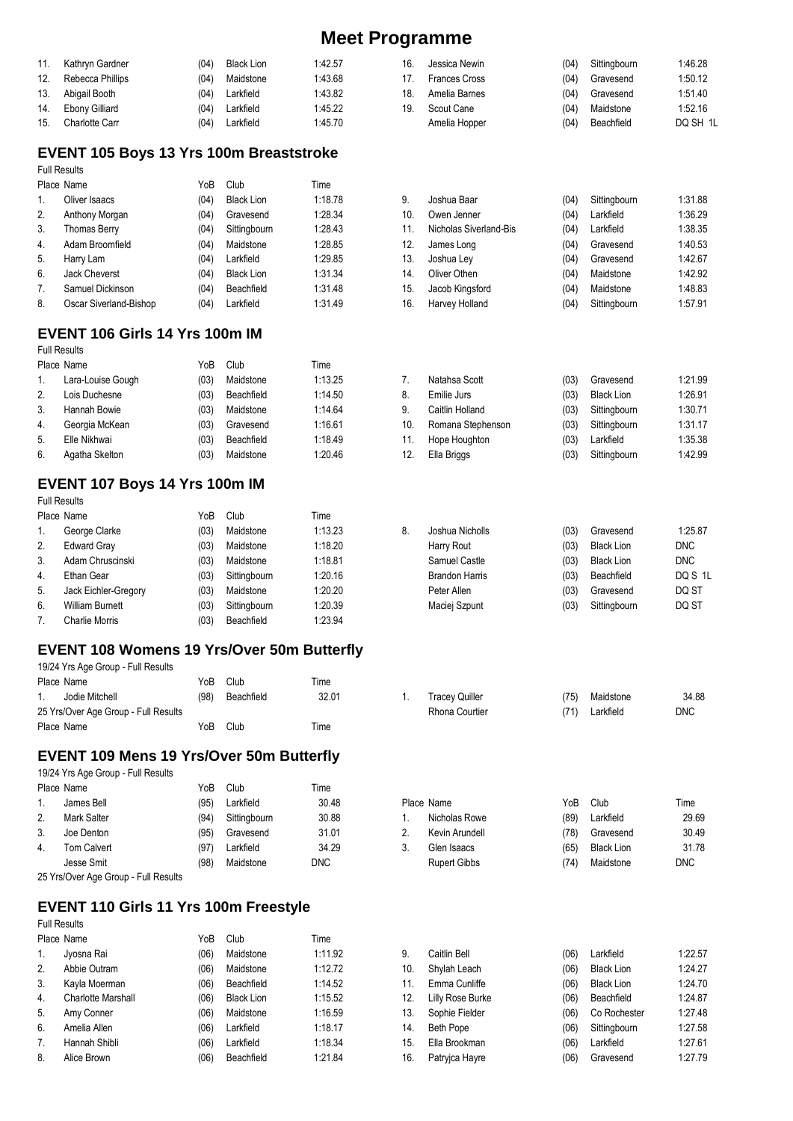| 11. | Kathryn Gardner       | (04) | <b>Black Lion</b> | 1:42.57 |
|-----|-----------------------|------|-------------------|---------|
| 12. | Rebecca Phillips      | (04) | Maidstone         | 1:43.68 |
|     | 13. Abigail Booth     | (04) | Larkfield         | 1:43.82 |
| 14. | <b>Ebony Gilliard</b> | (04) | Larkfield         | 1:45.22 |
| 15. | <b>Charlotte Carr</b> | (04) | Larkfield         | 1:45.70 |

### **EVENT 105 Boys 13 Yrs 100m Breaststroke**

Full Results

|    | Place Name             | YoB  | Club              | Time    |
|----|------------------------|------|-------------------|---------|
| 1. | Oliver Isaacs          | (04) | <b>Black Lion</b> | 1:18.78 |
| 2. | Anthony Morgan         | (04) | Gravesend         | 1:28.34 |
| 3. | <b>Thomas Berry</b>    | (04) | Sittingbourn      | 1:28.43 |
| 4. | Adam Broomfield        | (04) | Maidstone         | 1:28.85 |
| 5. | Harry Lam              | (04) | Larkfield         | 1:29.85 |
| 6. | <b>Jack Cheverst</b>   | (04) | <b>Black Lion</b> | 1:31.34 |
| 7. | Samuel Dickinson       | (04) | Beachfield        | 1:31.48 |
| 8. | Oscar Siverland-Bishop | (04) | Larkfield         | 1:31.49 |
|    |                        |      |                   |         |

## **EVENT 106 Girls 14 Yrs 100m IM**

Full Results

|    | Place Name        | YoB  | Club       | Time    |
|----|-------------------|------|------------|---------|
| 1. | Lara-Louise Gough | (03) | Maidstone  | 1:13.25 |
| 2. | Lois Duchesne     | (03) | Beachfield | 1:14.50 |
| 3. | Hannah Bowie      | (03) | Maidstone  | 1:14.64 |
| 4. | Georgia McKean    | (03) | Gravesend  | 1:16.61 |
| 5. | Elle Nikhwai      | (03) | Beachfield | 1:18.49 |
| 6. | Agatha Skelton    | (03) | Maidstone  | 1:20.46 |
|    |                   |      |            |         |

## **EVENT 107 Boys 14 Yrs 100m IM**

|    | <b>Full Results</b>    |      |              |         |    |                       |      |                   |            |
|----|------------------------|------|--------------|---------|----|-----------------------|------|-------------------|------------|
|    | Place Name             | YoB  | Club         | Time    |    |                       |      |                   |            |
|    | George Clarke          | (03) | Maidstone    | 1:13.23 | 8. | Joshua Nicholls       | (03) | Gravesend         | 1:25.87    |
| 2. | <b>Edward Gray</b>     | (03) | Maidstone    | 1:18.20 |    | Harry Rout            | (03) | <b>Black Lion</b> | <b>DNC</b> |
| 3. | Adam Chruscinski       | (03) | Maidstone    | 1:18.81 |    | Samuel Castle         | (03) | <b>Black Lion</b> | <b>DNC</b> |
| 4. | Ethan Gear             | (03) | Sittingbourn | 1:20.16 |    | <b>Brandon Harris</b> | (03) | Beachfield        | DQS 1      |
| 5. | Jack Eichler-Gregory   | (03) | Maidstone    | 1:20.20 |    | Peter Allen           | (03) | Gravesend         | DQ ST      |
| 6. | <b>William Burnett</b> | (03) | Sittingbourn | 1:20.39 |    | Maciej Szpunt         | (03) | Sittingbourn      | DQ ST      |
|    | Charlie Morris         | (03) | Beachfield   | 1:23.94 |    |                       |      |                   |            |

### **EVENT 108 Womens 19 Yrs/Over 50m Butterfly**

| 19/24 Yrs Age Group - Full Results   |      |            |       |                       |     |           |            |
|--------------------------------------|------|------------|-------|-----------------------|-----|-----------|------------|
| Place Name                           | YoB  | Club       | Time  |                       |     |           |            |
| Jodie Mitchell                       | (98) | Beachfield | 32.01 | <b>Tracey Quiller</b> | 75) | Maidstone | 34.88      |
| 25 Yrs/Over Age Group - Full Results |      |            |       | Rhona Courtier        | 71) | Larkfield | <b>DNC</b> |
| Place Name                           | YoB  | Club       | Time  |                       |     |           |            |
|                                      |      |            |       |                       |     |           |            |

#### **EVENT 109 Mens 19 Yrs/Over 50m Butterfly**  19/24 Yrs Age Group - Full Results

|    | Place Name                           | YoB  | Club         | Time  |                     |      |                   |            |
|----|--------------------------------------|------|--------------|-------|---------------------|------|-------------------|------------|
|    | James Bell                           | (95) | Larkfield    | 30.48 | Place Name          | YoB  | Club              | Time       |
| 2. | Mark Salter                          | (94) | Sittingbourn | 30.88 | Nicholas Rowe       | (89) | Larkfield         | 29.69      |
| 3. | Joe Denton                           | (95) | Gravesend    | 31.01 | Kevin Arundell      | 78)  | Gravesend         | 30.49      |
| 4. | Tom Calvert                          | (97) | Larkfield    | 34.29 | Glen Isaacs         | (65) | <b>Black Lion</b> | 31.78      |
|    | Jesse Smit                           | (98) | Maidstone    | DNC.  | <b>Rupert Gibbs</b> | 74   | Maidstone         | <b>DNC</b> |
|    | 25 Yre/Over Ane Group - Full Results |      |              |       |                     |      |                   |            |

25 Yrs/Over Age Group - Full Results

## **EVENT 110 Girls 11 Yrs 100m Freestyle**

Full Results

|    | Place Name                | YoB  | Club              | Time    |
|----|---------------------------|------|-------------------|---------|
| 1. | Jyosna Rai                | (06) | Maidstone         | 1:11.92 |
| 2. | Abbie Outram              | (06) | Maidstone         | 1:12.72 |
| 3. | Kayla Moerman             | (06) | Beachfield        | 1:14.52 |
| 4. | <b>Charlotte Marshall</b> | (06) | <b>Black Lion</b> | 1:15.52 |
| 5. | Amy Conner                | (06) | Maidstone         | 1:16.59 |
| 6. | Amelia Allen              | (06) | Larkfield         | 1:18.17 |
| 7. | Hannah Shibli             | (06) | Larkfield         | 1:18.34 |
| 8. | Alice Brown               | (06) | Beachfield        | 1:21.84 |
|    |                           |      |                   |         |

| 16. | Jessica Newin     | (04) | Sittingbourn | 1:46.28  |
|-----|-------------------|------|--------------|----------|
|     | 17. Frances Cross | (04) | Gravesend    | 1:50.12  |
| 18. | Amelia Barnes     | (04) | Gravesend    | 1:51.40  |
| 19. | Scout Cane        | (04) | Maidstone    | 1:52.16  |
|     | Amelia Hopper     | (04) | Beachfield   | DQ SH 1L |

| 9.  | Joshua Baar            | (04) | Sittingbourn | 1:31.88 |
|-----|------------------------|------|--------------|---------|
| 10. | Owen Jenner            | (04) | Larkfield    | 1:36.29 |
| 11. | Nicholas Siverland-Bis | (04) | Larkfield    | 1:38.35 |
| 12. | James Long             | (04) | Gravesend    | 1:40.53 |
| 13. | Joshua Ley             | (04) | Gravesend    | 1:42.67 |
| 14. | Oliver Othen           | (04) | Maidstone    | 1:42.92 |
| 15. | Jacob Kingsford        | (04) | Maidstone    | 1:48.83 |
| 16. | Harvey Holland         | (04) | Sittingbourn | 1:57.91 |

| 7.  | Natahsa Scott     | (03) | Gravesend         | 1:21.99 |
|-----|-------------------|------|-------------------|---------|
| 8.  | Emilie Jurs       | (03) | <b>Black Lion</b> | 1:26.91 |
| 9.  | Caitlin Holland   | (03) | Sittingbourn      | 1:30.71 |
| 10. | Romana Stephenson | (03) | Sittingbourn      | 1:31.17 |
| 11. | Hope Houghton     | (03) | Larkfield         | 1:35.38 |
| 12. | Ella Briggs       | (03) | Sittingbourn      | 1:42.99 |
|     |                   |      |                   |         |

| Joshua Nicholls       | (03) | Gravesend         | 1:25.87    |
|-----------------------|------|-------------------|------------|
| Harry Rout            | (03) | <b>Black Lion</b> | <b>DNC</b> |
| Samuel Castle         | (03) | <b>Black Lion</b> | <b>DNC</b> |
| <b>Brandon Harris</b> | (03) | Beachfield        | DQ S 1L    |
| Peter Allen           | (03) | Gravesend         | DQ ST      |
| Maciej Szpunt         | (03) | Sittingbourn      | DO ST      |
|                       |      |                   |            |

| 1. Tracey Quiller | (75) Maidstone | 34.88      |
|-------------------|----------------|------------|
| Rhona Courtier    | (71) Larkfield | <b>DNC</b> |

| 9.  | Caitlin Bell     | (06) | Larkfield         | 1:22.57 |
|-----|------------------|------|-------------------|---------|
| 10. | Shylah Leach     | (06) | <b>Black Lion</b> | 1:24.27 |
| 11. | Emma Cunliffe    | (06) | <b>Black Lion</b> | 1:24.70 |
| 12. | Lilly Rose Burke | (06) | Beachfield        | 1:24.87 |
| 13. | Sophie Fielder   | (06) | Co Rochester      | 1:27.48 |
| 14. | <b>Beth Pope</b> | (06) | Sittingbourn      | 1:27.58 |
| 15. | Ella Brookman    | (06) | Larkfield         | 1:27.61 |
| 16. | Patryica Hayre   | (06) | Gravesend         | 1:27.79 |
|     |                  |      |                   |         |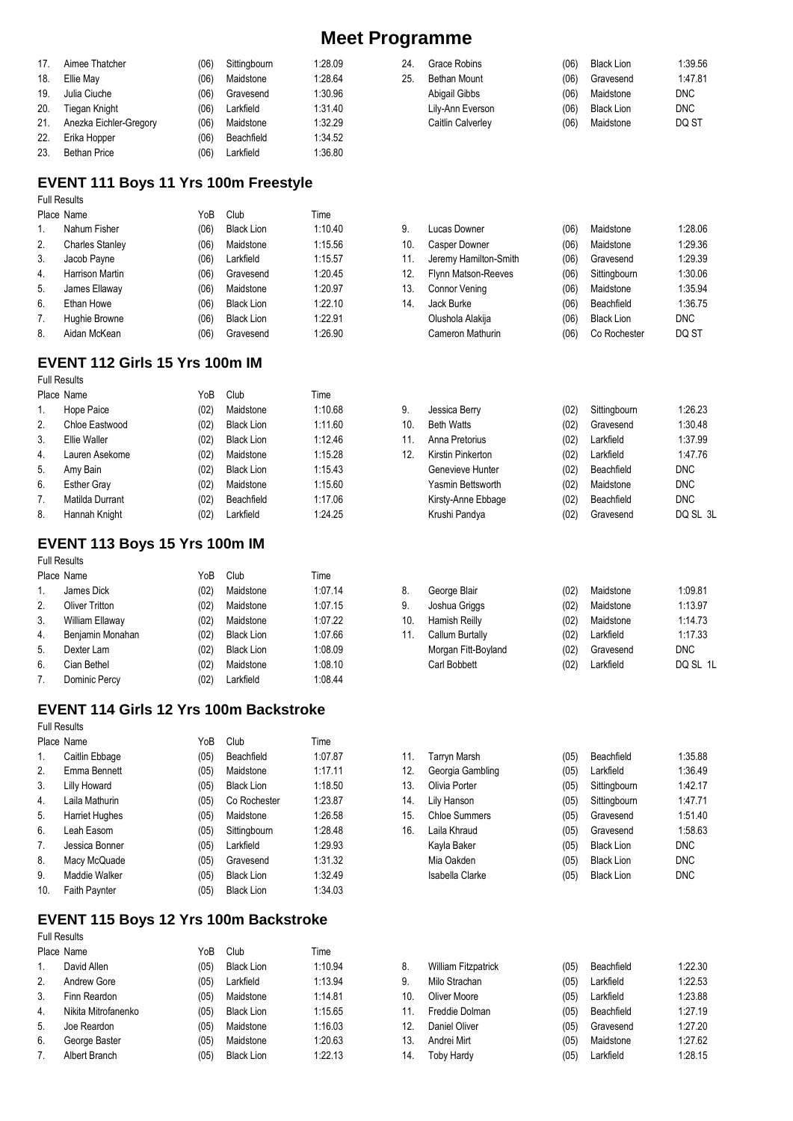| 17. | Aimee Thatcher         | (06) | Sittingbourn | 1:28.09 |
|-----|------------------------|------|--------------|---------|
| 18. | Ellie May              | (06) | Maidstone    | 1:28.64 |
| 19. | Julia Ciuche           | (06) | Gravesend    | 1:30.96 |
| 20. | <b>Tiegan Knight</b>   | (06) | Larkfield    | 1:31.40 |
| 21. | Anezka Eichler-Gregory | (06) | Maidstone    | 1:32.29 |
| 22. | Erika Hopper           | (06) | Beachfield   | 1:34.52 |
| 23. | <b>Bethan Price</b>    | (06) | Larkfield    | 1:36.80 |

## **EVENT 111 Boys 11 Yrs 100m Freestyle**

Full Results

|    | Place Name             | YoB  | Club              | Time    |
|----|------------------------|------|-------------------|---------|
| 1. | Nahum Fisher           | (06) | <b>Black Lion</b> | 1:10.40 |
| 2. | <b>Charles Stanley</b> | (06) | Maidstone         | 1:15.56 |
| 3. | Jacob Payne            | (06) | Larkfield         | 1:15.57 |
| 4. | <b>Harrison Martin</b> | (06) | Gravesend         | 1:20.45 |
| 5. | James Ellaway          | (06) | Maidstone         | 1:20.97 |
| 6. | Ethan Howe             | (06) | <b>Black Lion</b> | 1:22.10 |
| 7. | Hughie Browne          | (06) | <b>Black Lion</b> | 1:22.91 |
| 8. | Aidan McKean           | (06) | Gravesend         | 1:26.90 |

## **EVENT 112 Girls 15 Yrs 100m IM**

Full Results

|    | Place Name         | YoB  | Club              | Time    |
|----|--------------------|------|-------------------|---------|
| 1. | Hope Paice         | (02) | Maidstone         | 1:10.68 |
| 2. | Chloe Eastwood     | (02) | <b>Black Lion</b> | 1:11.60 |
| 3. | Ellie Waller       | (02) | <b>Black Lion</b> | 1:12.46 |
| 4. | Lauren Asekome     | (02) | Maidstone         | 1:15.28 |
| 5. | Amy Bain           | (02) | <b>Black Lion</b> | 1:15.43 |
| 6. | <b>Esther Gray</b> | (02) | Maidstone         | 1:15.60 |
| 7. | Matilda Durrant    | (02) | Beachfield        | 1:17.06 |
| 8. | Hannah Knight      | (02) | Larkfield         | 1:24.25 |

## **EVENT 113 Boys 15 Yrs 100m IM**

Full Results

|                  | Place Name            | YoB  | Club              | Time    |
|------------------|-----------------------|------|-------------------|---------|
| $\mathbf{1}$ .   | James Dick            | (02) | Maidstone         | 1:07.14 |
| 2.               | <b>Oliver Tritton</b> | (02) | Maidstone         | 1:07.15 |
| 3.               | William Ellaway       | (02) | Maidstone         | 1:07.22 |
| $\overline{4}$ . | Benjamin Monahan      | (02) | <b>Black Lion</b> | 1:07.66 |
| 5.               | Dexter Lam            | (02) | <b>Black Lion</b> | 1:08.09 |
| 6.               | Cian Bethel           | (02) | Maidstone         | 1:08.10 |
| 7 <sub>1</sub>   | Dominic Percy         | (02) | Larkfield         | 1:08.44 |

# **EVENT 114 Girls 12 Yrs 100m Backstroke**

Full Results

| Place Name     | YoB  | Club              | Time    |
|----------------|------|-------------------|---------|
| Caitlin Ebbage | (05) | Beachfield        | 1:07.87 |
| Emma Bennett   | (05) | Maidstone         | 1:17.11 |
| Lilly Howard   | (05) | <b>Black Lion</b> | 1:18.50 |
| Laila Mathurin | (05) | Co Rochester      | 1:23.87 |
| Harriet Hughes | (05) | Maidstone         | 1:26.58 |
| Leah Easom     | (05) | Sittingbourn      | 1:28.48 |
| Jessica Bonner | (05) | Larkfield         | 1:29.93 |
| Macy McQuade   | (05) | Gravesend         | 1:31.32 |
| Maddie Walker  | (05) | <b>Black Lion</b> | 1:32.49 |
| Faith Paynter  | (05) | <b>Black Lion</b> | 1:34.03 |
|                |      |                   |         |

### **EVENT 115 Boys 12 Yrs 100m Backstroke**

Full Results

|         | Place Name          | YoB  | Club              | Time    |
|---------|---------------------|------|-------------------|---------|
| $1_{-}$ | David Allen         | (05) | <b>Black Lion</b> | 1:10.94 |
| 2.      | <b>Andrew Gore</b>  | (05) | Larkfield         | 1:13.94 |
| 3.      | Finn Reardon        | (05) | Maidstone         | 1:14.81 |
| 4.      | Nikita Mitrofanenko | (05) | <b>Black Lion</b> | 1:15.65 |
| 5.      | Joe Reardon         | (05) | Maidstone         | 1:16.03 |
| 6.      | George Baster       | (05) | Maidstone         | 1:20.63 |
| 7.      | Albert Branch       | (05) | <b>Black Lion</b> | 1:22.13 |

| 1:47.81 |
|---------|
|         |
| DNC.    |
| DNC.    |
| DQ ST   |
|         |

| 9.  | Lucas Downer          | (06) | Maidstone         | 1:28.06    |
|-----|-----------------------|------|-------------------|------------|
| 10. | <b>Casper Downer</b>  | (06) | Maidstone         | 1:29.36    |
| 11. | Jeremy Hamilton-Smith | (06) | Gravesend         | 1:29.39    |
| 12. | Flynn Matson-Reeves   | (06) | Sittingbourn      | 1:30.06    |
| 13. | <b>Connor Vening</b>  | (06) | Maidstone         | 1:35.94    |
| 14. | Jack Burke            | (06) | Beachfield        | 1:36.75    |
|     | Olushola Alakija      | (06) | <b>Black Lion</b> | <b>DNC</b> |
|     | Cameron Mathurin      | (06) | Co Rochester      | DQ ST      |

| 9.              | Jessica Berry      | (02) | Sittingbourn | 1:26.23    |
|-----------------|--------------------|------|--------------|------------|
| 10.             | <b>Beth Watts</b>  | (02) | Gravesend    | 1:30.48    |
| 11.             | Anna Pretorius     | (02) | Larkfield    | 1:37.99    |
| 12 <sup>°</sup> | Kirstin Pinkerton  | (02) | Larkfield    | 1:47.76    |
|                 | Genevieve Hunter   | (02) | Beachfield   | <b>DNC</b> |
|                 | Yasmin Bettsworth  | (02) | Maidstone    | <b>DNC</b> |
|                 | Kirsty-Anne Ebbage | (02) | Beachfield   | <b>DNC</b> |
|                 | Krushi Pandya      | (02) | Gravesend    | DQ SL 3L   |

| 8.  | George Blair        | (02) | Maidstone | 1:09.81    |
|-----|---------------------|------|-----------|------------|
| 9.  | Joshua Griggs       | (02) | Maidstone | 1:13.97    |
| 10. | Hamish Reilly       | (02) | Maidstone | 1:14.73    |
| 11. | Callum Burtally     | (02) | Larkfield | 1:17.33    |
|     | Morgan Fitt-Boyland | (02) | Gravesend | <b>DNC</b> |
|     | Carl Bobbett        | (02) | Larkfield | DQ SL 1L   |

| 11. | Tarryn Marsh         | (05) | Beachfield        | 1:35.88    |
|-----|----------------------|------|-------------------|------------|
| 12. | Georgia Gambling     | (05) | Larkfield         | 1:36.49    |
| 13. | Olivia Porter        | (05) | Sittingbourn      | 1:42.17    |
| 14. | Lily Hanson          | (05) | Sittingbourn      | 1:47.71    |
| 15. | <b>Chloe Summers</b> | (05) | Gravesend         | 1:51.40    |
| 16. | Laila Khraud         | (05) | Gravesend         | 1:58.63    |
|     | Kayla Baker          | (05) | <b>Black Lion</b> | <b>DNC</b> |
|     | Mia Oakden           | (05) | <b>Black Lion</b> | <b>DNC</b> |
|     | Isabella Clarke      | (05) | <b>Black Lion</b> | <b>DNC</b> |

| 8.  | <b>William Fitzpatrick</b> | (05) | Beachfield | 1:22.30 |
|-----|----------------------------|------|------------|---------|
| 9.  | Milo Strachan              | (05) | Larkfield  | 1:22.53 |
| 10. | Oliver Moore               | (05) | Larkfield  | 1:23.88 |
|     | 11. Freddie Dolman         | (05) | Beachfield | 1:27.19 |
|     | 12. Daniel Oliver          | (05) | Gravesend  | 1:27.20 |
| 13. | Andrei Mirt                | (05) | Maidstone  | 1:27.62 |
|     | 14. Toby Hardy             | (05) | Larkfield  | 1:28.15 |
|     |                            |      |            |         |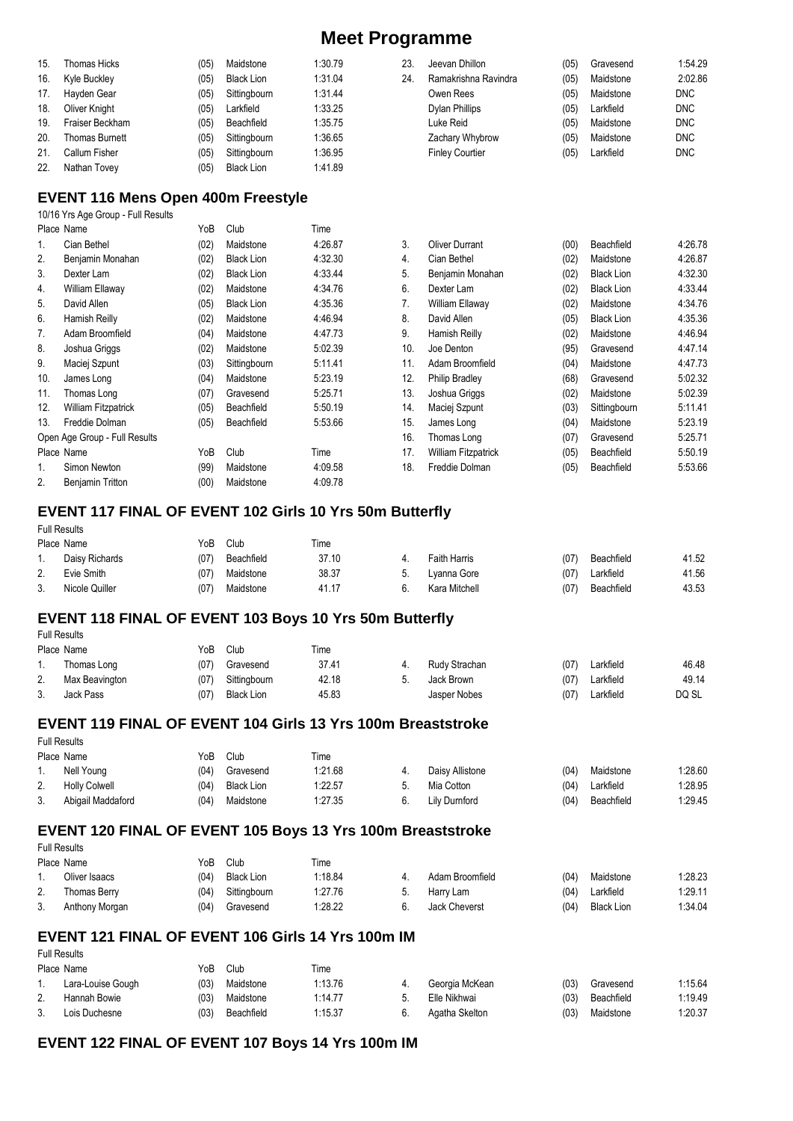| 15. | Thomas Hicks          | (05) | Maidstone    | 1:30.79 | 23. | Jeevan Dhillon         | (05) | Gravesend | 1:54.29    |
|-----|-----------------------|------|--------------|---------|-----|------------------------|------|-----------|------------|
| 16. | Kyle Buckley          | (05) | Black Lion   | 1:31.04 | 24. | Ramakrishna Ravindra   | (05) | Maidstone | 2:02.86    |
| 17. | Havden Gear           | (05) | Sittingbourn | 1:31.44 |     | Owen Rees              | (05) | Maidstone | <b>DNC</b> |
| 18. | Oliver Knight         | (05) | Larkfield    | 1:33.25 |     | Dylan Phillips         | (05) | Larkfield | <b>DNC</b> |
| 19. | Fraiser Beckham       | (05) | Beachfield   | 1:35.75 |     | Luke Reid              | (05) | Maidstone | <b>DNC</b> |
| 20. | <b>Thomas Burnett</b> | (05) | Sittingbourn | 1:36.65 |     | Zachary Whybrow        | (05) | Maidstone | <b>DNC</b> |
| 21. | Callum Fisher         | (05) | Sittingbourn | 1:36.95 |     | <b>Finley Courtier</b> | (05) | Larkfield | <b>DNC</b> |
| 22. | Nathan Tovev          | (05) | Black Lion   | 1:41.89 |     |                        |      |           |            |

#### **EVENT 116 Mens Open 400m Freestyle**

10/16 Yrs Age Group - Full Results

|     | Place Name                    | YoB  | Club              | Time    |     |  |
|-----|-------------------------------|------|-------------------|---------|-----|--|
| 1.  | Cian Bethel                   | (02) | Maidstone         | 4:26.87 | 3.  |  |
| 2.  | Benjamin Monahan              | (02) | <b>Black Lion</b> | 4:32.30 | 4.  |  |
| 3.  | Dexter Lam                    | (02) | <b>Black Lion</b> | 4:33.44 | 5.  |  |
| 4.  | William Ellaway               | (02) | Maidstone         | 4:34.76 | 6.  |  |
| 5.  | David Allen                   | (05) | <b>Black Lion</b> | 4:35.36 | 7.  |  |
| 6.  | Hamish Reilly                 | (02) | Maidstone         | 4:46.94 | 8.  |  |
| 7.  | Adam Broomfield               | (04) | Maidstone         | 4:47.73 | 9.  |  |
| 8.  | Joshua Griggs                 | (02) | Maidstone         | 5:02.39 | 10. |  |
| 9.  | Maciej Szpunt                 | (03) | Sittingbourn      | 5:11.41 | 11. |  |
| 10. | James Long                    | (04) | Maidstone         | 5:23.19 | 12. |  |
| 11. | Thomas Long                   | (07) | Gravesend         | 5:25.71 | 13. |  |
| 12. | <b>William Fitzpatrick</b>    | (05) | Beachfield        | 5:50.19 | 14. |  |
| 13. | Freddie Dolman                | (05) | Beachfield        | 5:53.66 | 15. |  |
|     | Open Age Group - Full Results |      |                   |         | 16. |  |
|     | Place Name                    | YoB  | Club              | Time    | 17. |  |
| 1.  | Simon Newton                  | (99) | Maidstone         | 4:09.58 | 18. |  |
| 2.  | Benjamin Tritton              | (00) | Maidstone         | 4:09.78 |     |  |

| 3.  | <b>Oliver Durrant</b> | (00) | Beachfield        | 4:26.78 |
|-----|-----------------------|------|-------------------|---------|
| 4.  | Cian Bethel           | (02) | Maidstone         | 4:26.87 |
| 5.  | Benjamin Monahan      | (02) | <b>Black Lion</b> | 4:32.30 |
| 6.  | Dexter Lam            | (02) | <b>Black Lion</b> | 4:33.44 |
| 7.  | William Ellaway       | (02) | Maidstone         | 4:34.76 |
| 8.  | David Allen           | (05) | <b>Black Lion</b> | 4:35.36 |
| 9.  | Hamish Reilly         | (02) | Maidstone         | 4:46.94 |
| 10. | Joe Denton            | (95) | Gravesend         | 4:47.14 |
| 11. | Adam Broomfield       | (04) | Maidstone         | 4:47.73 |
| 12. | <b>Philip Bradley</b> | (68) | Gravesend         | 5:02.32 |
| 13. | Joshua Griggs         | (02) | Maidstone         | 5:02.39 |
| 14. | Maciej Szpunt         | (03) | Sittingbourn      | 5:11.41 |
| 15. | James Long            | (04) | Maidstone         | 5:23.19 |
| 16. | Thomas Long           | (07) | Gravesend         | 5:25.71 |
| 17. | William Fitzpatrick   | (05) | Beachfield        | 5:50.19 |
| 18. | Freddie Dolman        | (05) | Beachfield        | 5:53.66 |

### **EVENT 117 FINAL OF EVENT 102 Girls 10 Yrs 50m Butterfly**

Full Results<br>Place Name

Full Results

|    | Place Name     | YoB  | Club       | Time  |                     |      |            |       |
|----|----------------|------|------------|-------|---------------------|------|------------|-------|
| 1. | Daisy Richards | (07) | Beachfield | 37.10 | <b>Faith Harris</b> | (07) | Beachfield | 41.52 |
| 2. | Evie Smith     | (07) | Maidstone  | 38.37 | Lyanna Gore         | (07) | Larkfield  | 41.56 |
| 3. | Nicole Quiller | (07) | Maidstone  | 41.17 | Kara Mitchell       | (07) | Beachfield | 43.53 |

#### **EVENT 118 FINAL OF EVENT 103 Boys 10 Yrs 50m Butterfly**

|    | Place Name     | YoB  | Club              | Time  |               |      |           |       |
|----|----------------|------|-------------------|-------|---------------|------|-----------|-------|
|    | Thomas Long    | (07) | Gravesend         | 37.41 | Rudy Strachan | (07) | Larkfield | 46.48 |
| 2. | Max Beavington | (07) | Sittingbourn      | 42.18 | Jack Brown    | (07) | Larkfield | 49.14 |
| 3. | Jack Pass      | (07) | <b>Black Lion</b> | 45.83 | Jasper Nobes  | (07) | Larkfield | DQ SL |

#### **EVENT 119 FINAL OF EVENT 104 Girls 13 Yrs 100m Breaststroke**  Full Results

|    | Place Name           | YoB  | Club              | Time    |                 |      |            |         |
|----|----------------------|------|-------------------|---------|-----------------|------|------------|---------|
|    | Nell Young           | (04) | Gravesend         | 1:21.68 | Daisy Allistone | (04) | Maidstone  | 1:28.60 |
| 2. | <b>Holly Colwell</b> | (04) | <b>Black Lion</b> | 1:22.57 | Mia Cotton      | (04) | Larkfield  | 1:28.95 |
| 3. | Abigail Maddaford    | (04) | Maidstone         | 1:27.35 | Lily Durnford   | (04) | Beachfield | 1:29.45 |

#### **EVENT 120 FINAL OF EVENT 105 Boys 13 Yrs 100m Breaststroke**

Full Results<br>Place Name

Full Results

|     | Place Name     | YoB  | Club              | Гіmе    |                      |      |                   |         |
|-----|----------------|------|-------------------|---------|----------------------|------|-------------------|---------|
| . . | Oliver Isaacs  | (04) | <b>Black Lion</b> | 1:18.84 | Adam Broomfield      | (04) | Maidstone         | 1:28.23 |
| 2.  | Thomas Berrv   | (04) | Sittingbourn      | 1:27.76 | Harry Lam            | (04) | Larkfield         | 1:29.11 |
| 3.  | Anthony Morgan | (04) | Gravesend         | 1:28.22 | <b>Jack Cheverst</b> | (04) | <b>Black Lion</b> | 1:34.04 |

## **EVENT 121 FINAL OF EVENT 106 Girls 14 Yrs 100m IM**

|    | Place Name        | YoB  | Club       | Time    |                |      |            |         |
|----|-------------------|------|------------|---------|----------------|------|------------|---------|
|    | Lara-Louise Gough | (03) | Maidstone  | 1:13.76 | Georgia McKean | (03) | Gravesend  | 1:15.64 |
| ۷. | Hannah Bowie      | (03) | Maidstone  | 1:14.77 | Elle Nikhwai   | (03) | Beachfield | 1:19.49 |
|    | Lois Duchesne     | (03) | Beachfield | 1:15.37 | Agatha Skelton | (03) | Maidstone  | 1:20.37 |

### **EVENT 122 FINAL OF EVENT 107 Boys 14 Yrs 100m IM**